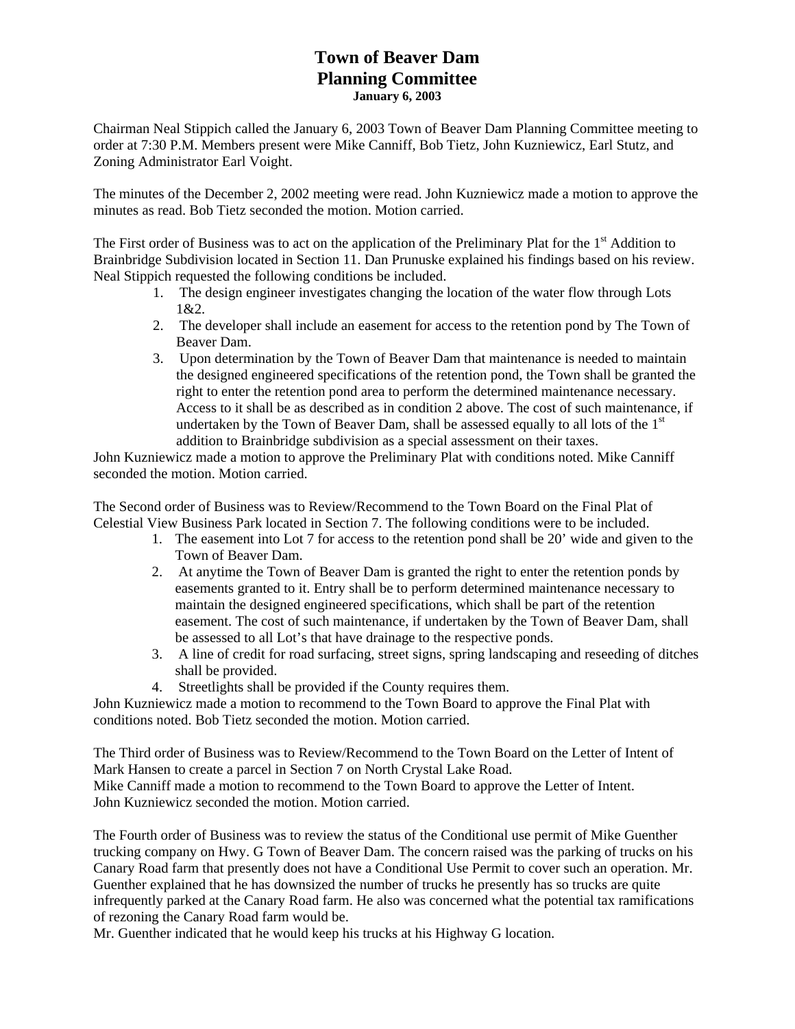## **Town of Beaver Dam Planning Committee January 6, 2003**

Chairman Neal Stippich called the January 6, 2003 Town of Beaver Dam Planning Committee meeting to order at 7:30 P.M. Members present were Mike Canniff, Bob Tietz, John Kuzniewicz, Earl Stutz, and Zoning Administrator Earl Voight.

The minutes of the December 2, 2002 meeting were read. John Kuzniewicz made a motion to approve the minutes as read. Bob Tietz seconded the motion. Motion carried.

The First order of Business was to act on the application of the Preliminary Plat for the  $1<sup>st</sup>$  Addition to Brainbridge Subdivision located in Section 11. Dan Prunuske explained his findings based on his review. Neal Stippich requested the following conditions be included.

- 1. The design engineer investigates changing the location of the water flow through Lots 1&2.
- 2. The developer shall include an easement for access to the retention pond by The Town of Beaver Dam.
- 3. Upon determination by the Town of Beaver Dam that maintenance is needed to maintain the designed engineered specifications of the retention pond, the Town shall be granted the right to enter the retention pond area to perform the determined maintenance necessary. Access to it shall be as described as in condition 2 above. The cost of such maintenance, if undertaken by the Town of Beaver Dam, shall be assessed equally to all lots of the  $1<sup>st</sup>$ addition to Brainbridge subdivision as a special assessment on their taxes.

John Kuzniewicz made a motion to approve the Preliminary Plat with conditions noted. Mike Canniff seconded the motion. Motion carried.

The Second order of Business was to Review/Recommend to the Town Board on the Final Plat of Celestial View Business Park located in Section 7. The following conditions were to be included.

- 1. The easement into Lot 7 for access to the retention pond shall be 20' wide and given to the Town of Beaver Dam.
- 2. At anytime the Town of Beaver Dam is granted the right to enter the retention ponds by easements granted to it. Entry shall be to perform determined maintenance necessary to maintain the designed engineered specifications, which shall be part of the retention easement. The cost of such maintenance, if undertaken by the Town of Beaver Dam, shall be assessed to all Lot's that have drainage to the respective ponds.
- 3. A line of credit for road surfacing, street signs, spring landscaping and reseeding of ditches shall be provided.
- 4. Streetlights shall be provided if the County requires them.

John Kuzniewicz made a motion to recommend to the Town Board to approve the Final Plat with conditions noted. Bob Tietz seconded the motion. Motion carried.

The Third order of Business was to Review/Recommend to the Town Board on the Letter of Intent of Mark Hansen to create a parcel in Section 7 on North Crystal Lake Road. Mike Canniff made a motion to recommend to the Town Board to approve the Letter of Intent. John Kuzniewicz seconded the motion. Motion carried.

The Fourth order of Business was to review the status of the Conditional use permit of Mike Guenther trucking company on Hwy. G Town of Beaver Dam. The concern raised was the parking of trucks on his Canary Road farm that presently does not have a Conditional Use Permit to cover such an operation. Mr. Guenther explained that he has downsized the number of trucks he presently has so trucks are quite infrequently parked at the Canary Road farm. He also was concerned what the potential tax ramifications of rezoning the Canary Road farm would be.

Mr. Guenther indicated that he would keep his trucks at his Highway G location.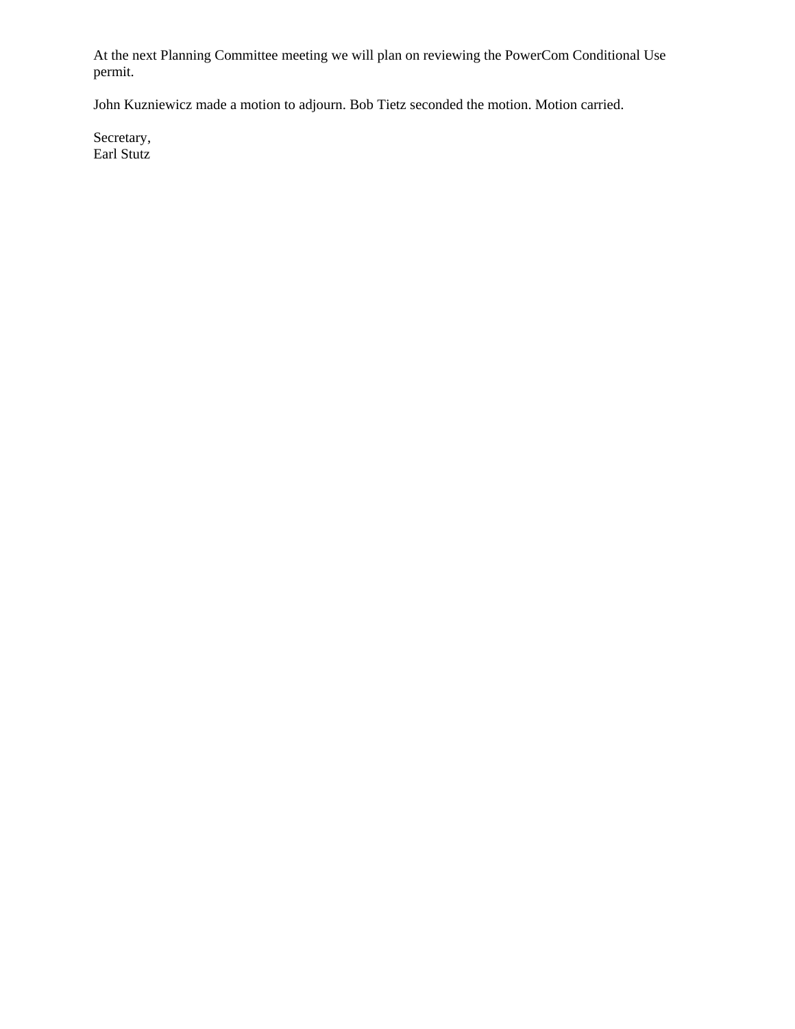At the next Planning Committee meeting we will plan on reviewing the PowerCom Conditional Use permit.

John Kuzniewicz made a motion to adjourn. Bob Tietz seconded the motion. Motion carried.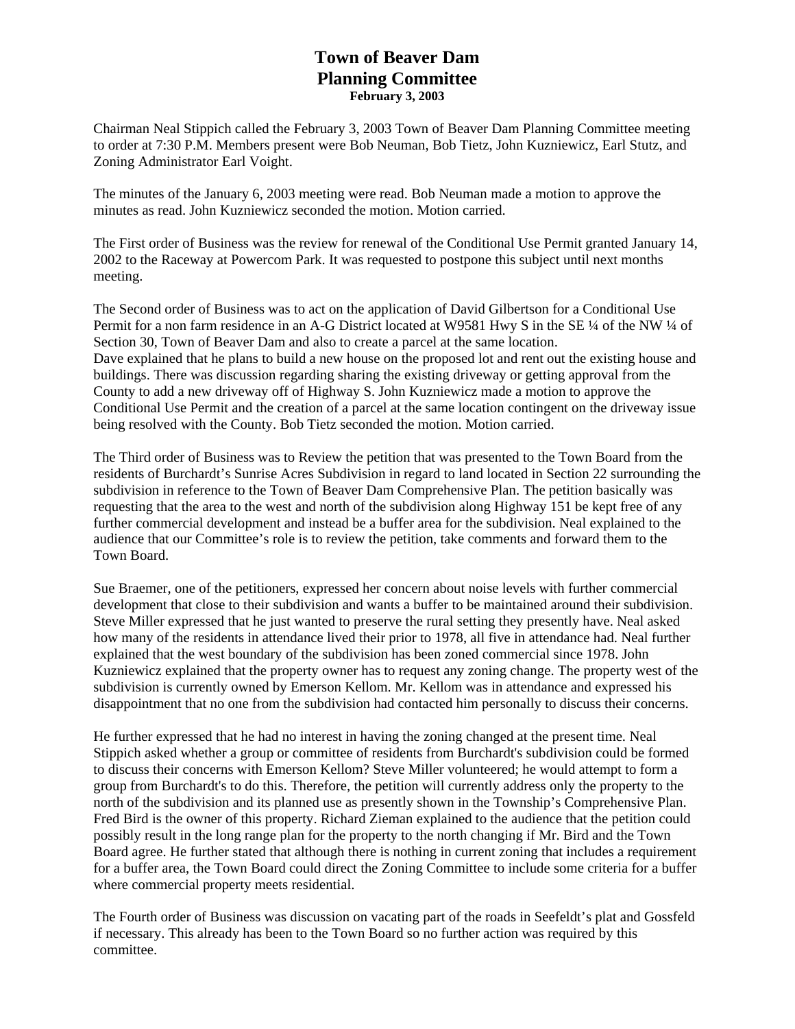## **Town of Beaver Dam Planning Committee February 3, 2003**

Chairman Neal Stippich called the February 3, 2003 Town of Beaver Dam Planning Committee meeting to order at 7:30 P.M. Members present were Bob Neuman, Bob Tietz, John Kuzniewicz, Earl Stutz, and Zoning Administrator Earl Voight.

The minutes of the January 6, 2003 meeting were read. Bob Neuman made a motion to approve the minutes as read. John Kuzniewicz seconded the motion. Motion carried.

The First order of Business was the review for renewal of the Conditional Use Permit granted January 14, 2002 to the Raceway at Powercom Park. It was requested to postpone this subject until next months meeting.

The Second order of Business was to act on the application of David Gilbertson for a Conditional Use Permit for a non farm residence in an A-G District located at W9581 Hwy S in the SE 1/4 of the NW 1/4 of Section 30, Town of Beaver Dam and also to create a parcel at the same location. Dave explained that he plans to build a new house on the proposed lot and rent out the existing house and buildings. There was discussion regarding sharing the existing driveway or getting approval from the County to add a new driveway off of Highway S. John Kuzniewicz made a motion to approve the Conditional Use Permit and the creation of a parcel at the same location contingent on the driveway issue being resolved with the County. Bob Tietz seconded the motion. Motion carried.

The Third order of Business was to Review the petition that was presented to the Town Board from the residents of Burchardt's Sunrise Acres Subdivision in regard to land located in Section 22 surrounding the subdivision in reference to the Town of Beaver Dam Comprehensive Plan. The petition basically was requesting that the area to the west and north of the subdivision along Highway 151 be kept free of any further commercial development and instead be a buffer area for the subdivision. Neal explained to the audience that our Committee's role is to review the petition, take comments and forward them to the Town Board.

Sue Braemer, one of the petitioners, expressed her concern about noise levels with further commercial development that close to their subdivision and wants a buffer to be maintained around their subdivision. Steve Miller expressed that he just wanted to preserve the rural setting they presently have. Neal asked how many of the residents in attendance lived their prior to 1978, all five in attendance had. Neal further explained that the west boundary of the subdivision has been zoned commercial since 1978. John Kuzniewicz explained that the property owner has to request any zoning change. The property west of the subdivision is currently owned by Emerson Kellom. Mr. Kellom was in attendance and expressed his disappointment that no one from the subdivision had contacted him personally to discuss their concerns.

He further expressed that he had no interest in having the zoning changed at the present time. Neal Stippich asked whether a group or committee of residents from Burchardt's subdivision could be formed to discuss their concerns with Emerson Kellom? Steve Miller volunteered; he would attempt to form a group from Burchardt's to do this. Therefore, the petition will currently address only the property to the north of the subdivision and its planned use as presently shown in the Township's Comprehensive Plan. Fred Bird is the owner of this property. Richard Zieman explained to the audience that the petition could possibly result in the long range plan for the property to the north changing if Mr. Bird and the Town Board agree. He further stated that although there is nothing in current zoning that includes a requirement for a buffer area, the Town Board could direct the Zoning Committee to include some criteria for a buffer where commercial property meets residential.

The Fourth order of Business was discussion on vacating part of the roads in Seefeldt's plat and Gossfeld if necessary. This already has been to the Town Board so no further action was required by this committee.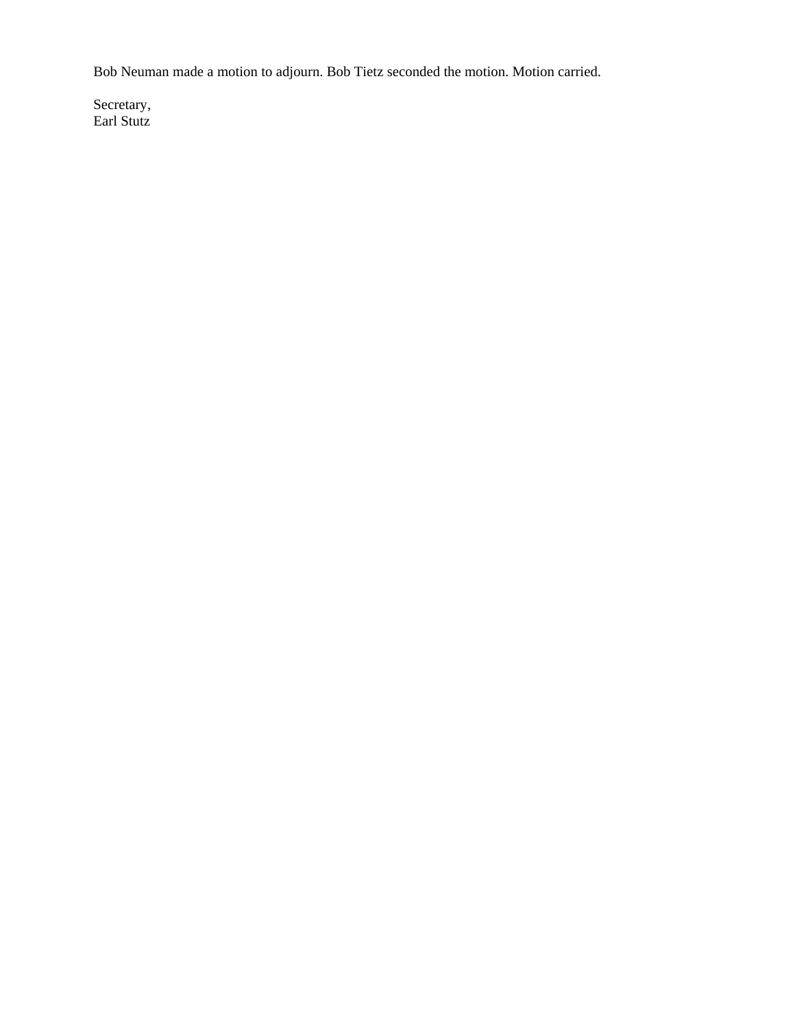Bob Neuman made a motion to adjourn. Bob Tietz seconded the motion. Motion carried.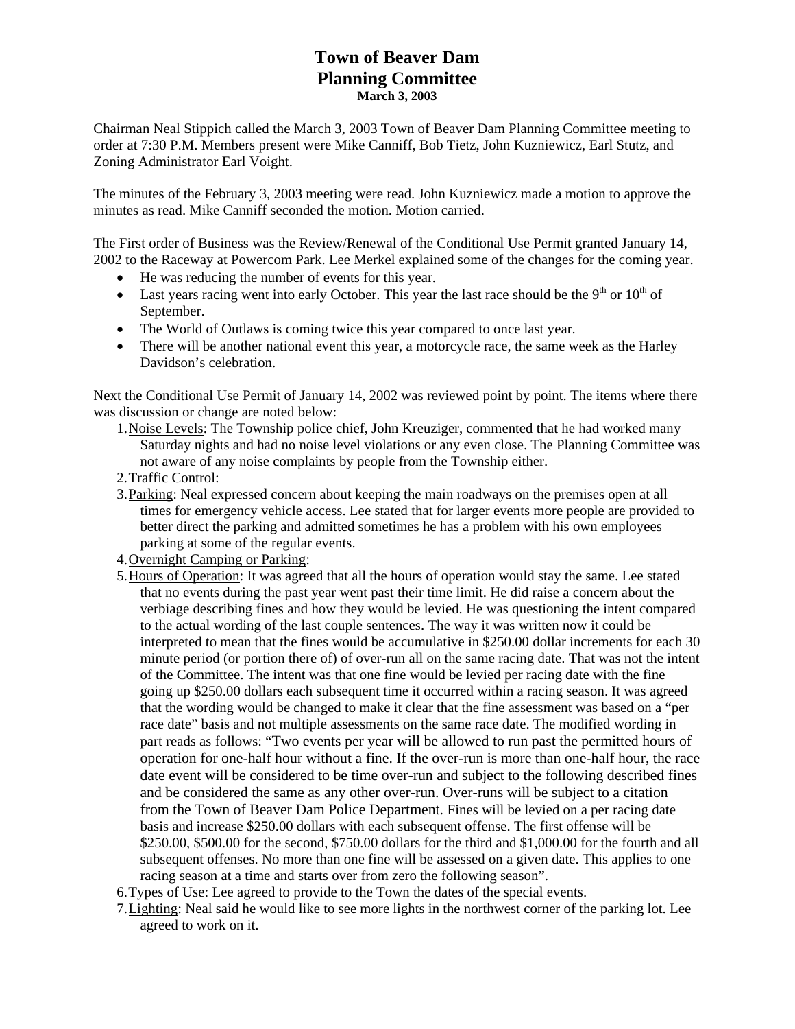## **Town of Beaver Dam Planning Committee March 3, 2003**

Chairman Neal Stippich called the March 3, 2003 Town of Beaver Dam Planning Committee meeting to order at 7:30 P.M. Members present were Mike Canniff, Bob Tietz, John Kuzniewicz, Earl Stutz, and Zoning Administrator Earl Voight.

The minutes of the February 3, 2003 meeting were read. John Kuzniewicz made a motion to approve the minutes as read. Mike Canniff seconded the motion. Motion carried.

The First order of Business was the Review/Renewal of the Conditional Use Permit granted January 14, 2002 to the Raceway at Powercom Park. Lee Merkel explained some of the changes for the coming year.

- He was reducing the number of events for this year.
- Last years racing went into early October. This year the last race should be the 9<sup>th</sup> or  $10^{th}$  of September.
- The World of Outlaws is coming twice this year compared to once last year.
- There will be another national event this year, a motorcycle race, the same week as the Harley Davidson's celebration.

Next the Conditional Use Permit of January 14, 2002 was reviewed point by point. The items where there was discussion or change are noted below:

- 1.Noise Levels: The Township police chief, John Kreuziger, commented that he had worked many Saturday nights and had no noise level violations or any even close. The Planning Committee was not aware of any noise complaints by people from the Township either.
- 2.Traffic Control:
- 3.Parking: Neal expressed concern about keeping the main roadways on the premises open at all times for emergency vehicle access. Lee stated that for larger events more people are provided to better direct the parking and admitted sometimes he has a problem with his own employees parking at some of the regular events.
- 4.Overnight Camping or Parking:
- 5.Hours of Operation: It was agreed that all the hours of operation would stay the same. Lee stated that no events during the past year went past their time limit. He did raise a concern about the verbiage describing fines and how they would be levied. He was questioning the intent compared to the actual wording of the last couple sentences. The way it was written now it could be interpreted to mean that the fines would be accumulative in \$250.00 dollar increments for each 30 minute period (or portion there of) of over-run all on the same racing date. That was not the intent of the Committee. The intent was that one fine would be levied per racing date with the fine going up \$250.00 dollars each subsequent time it occurred within a racing season. It was agreed that the wording would be changed to make it clear that the fine assessment was based on a "per race date" basis and not multiple assessments on the same race date. The modified wording in part reads as follows: "Two events per year will be allowed to run past the permitted hours of operation for one-half hour without a fine. If the over-run is more than one-half hour, the race date event will be considered to be time over-run and subject to the following described fines and be considered the same as any other over-run. Over-runs will be subject to a citation from the Town of Beaver Dam Police Department. Fines will be levied on a per racing date basis and increase \$250.00 dollars with each subsequent offense. The first offense will be \$250.00, \$500.00 for the second, \$750.00 dollars for the third and \$1,000.00 for the fourth and all subsequent offenses. No more than one fine will be assessed on a given date. This applies to one racing season at a time and starts over from zero the following season".
- 6. Types of Use: Lee agreed to provide to the Town the dates of the special events.
- 7.Lighting: Neal said he would like to see more lights in the northwest corner of the parking lot. Lee agreed to work on it.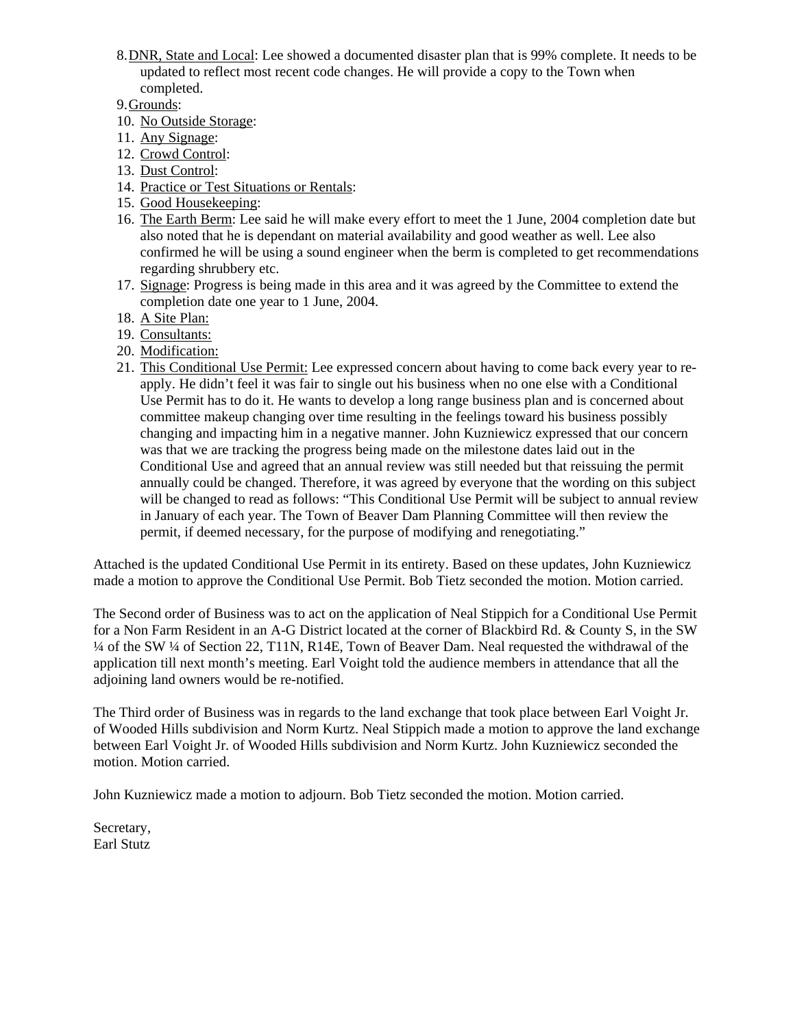- 8.DNR, State and Local: Lee showed a documented disaster plan that is 99% complete. It needs to be updated to reflect most recent code changes. He will provide a copy to the Town when completed.
- 9.Grounds:
- 10. No Outside Storage:
- 11. Any Signage:
- 12. Crowd Control:
- 13. Dust Control:
- 14. Practice or Test Situations or Rentals:
- 15. Good Housekeeping:
- 16. The Earth Berm: Lee said he will make every effort to meet the 1 June, 2004 completion date but also noted that he is dependant on material availability and good weather as well. Lee also confirmed he will be using a sound engineer when the berm is completed to get recommendations regarding shrubbery etc.
- 17. Signage: Progress is being made in this area and it was agreed by the Committee to extend the completion date one year to 1 June, 2004.
- 18. A Site Plan:
- 19. Consultants:
- 20. Modification:
- 21. This Conditional Use Permit: Lee expressed concern about having to come back every year to reapply. He didn't feel it was fair to single out his business when no one else with a Conditional Use Permit has to do it. He wants to develop a long range business plan and is concerned about committee makeup changing over time resulting in the feelings toward his business possibly changing and impacting him in a negative manner. John Kuzniewicz expressed that our concern was that we are tracking the progress being made on the milestone dates laid out in the Conditional Use and agreed that an annual review was still needed but that reissuing the permit annually could be changed. Therefore, it was agreed by everyone that the wording on this subject will be changed to read as follows: "This Conditional Use Permit will be subject to annual review in January of each year. The Town of Beaver Dam Planning Committee will then review the permit, if deemed necessary, for the purpose of modifying and renegotiating."

Attached is the updated Conditional Use Permit in its entirety. Based on these updates, John Kuzniewicz made a motion to approve the Conditional Use Permit. Bob Tietz seconded the motion. Motion carried.

The Second order of Business was to act on the application of Neal Stippich for a Conditional Use Permit for a Non Farm Resident in an A-G District located at the corner of Blackbird Rd. & County S, in the SW ¼ of the SW ¼ of Section 22, T11N, R14E, Town of Beaver Dam. Neal requested the withdrawal of the application till next month's meeting. Earl Voight told the audience members in attendance that all the adjoining land owners would be re-notified.

The Third order of Business was in regards to the land exchange that took place between Earl Voight Jr. of Wooded Hills subdivision and Norm Kurtz. Neal Stippich made a motion to approve the land exchange between Earl Voight Jr. of Wooded Hills subdivision and Norm Kurtz. John Kuzniewicz seconded the motion. Motion carried.

John Kuzniewicz made a motion to adjourn. Bob Tietz seconded the motion. Motion carried.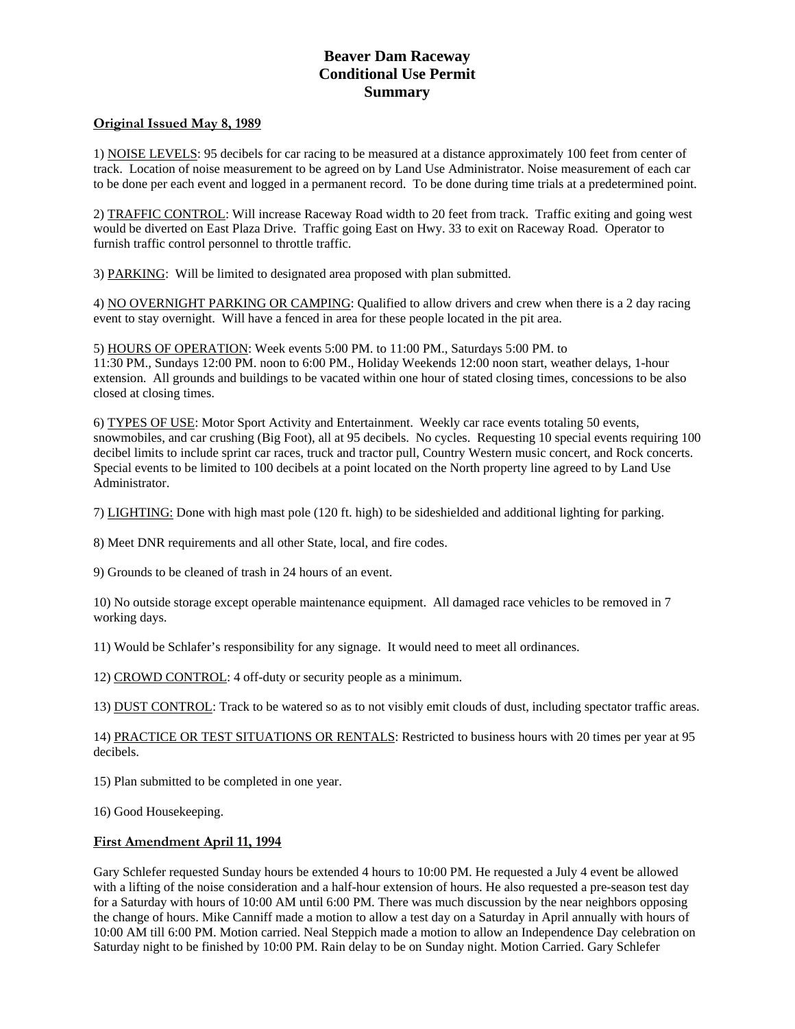#### **Beaver Dam Raceway Conditional Use Permit Summary**

#### **Original Issued May 8, 1989**

1) NOISE LEVELS: 95 decibels for car racing to be measured at a distance approximately 100 feet from center of track. Location of noise measurement to be agreed on by Land Use Administrator. Noise measurement of each car to be done per each event and logged in a permanent record. To be done during time trials at a predetermined point.

2) TRAFFIC CONTROL: Will increase Raceway Road width to 20 feet from track. Traffic exiting and going west would be diverted on East Plaza Drive. Traffic going East on Hwy. 33 to exit on Raceway Road. Operator to furnish traffic control personnel to throttle traffic.

3) PARKING: Will be limited to designated area proposed with plan submitted.

4) NO OVERNIGHT PARKING OR CAMPING: Qualified to allow drivers and crew when there is a 2 day racing event to stay overnight. Will have a fenced in area for these people located in the pit area.

5) HOURS OF OPERATION: Week events 5:00 PM. to 11:00 PM., Saturdays 5:00 PM. to 11:30 PM., Sundays 12:00 PM. noon to 6:00 PM., Holiday Weekends 12:00 noon start, weather delays, 1-hour extension. All grounds and buildings to be vacated within one hour of stated closing times, concessions to be also closed at closing times.

6) TYPES OF USE: Motor Sport Activity and Entertainment. Weekly car race events totaling 50 events, snowmobiles, and car crushing (Big Foot), all at 95 decibels. No cycles. Requesting 10 special events requiring 100 decibel limits to include sprint car races, truck and tractor pull, Country Western music concert, and Rock concerts. Special events to be limited to 100 decibels at a point located on the North property line agreed to by Land Use Administrator.

7) LIGHTING: Done with high mast pole (120 ft. high) to be sideshielded and additional lighting for parking.

8) Meet DNR requirements and all other State, local, and fire codes.

9) Grounds to be cleaned of trash in 24 hours of an event.

10) No outside storage except operable maintenance equipment. All damaged race vehicles to be removed in 7 working days.

11) Would be Schlafer's responsibility for any signage. It would need to meet all ordinances.

12) CROWD CONTROL: 4 off-duty or security people as a minimum.

13) DUST CONTROL: Track to be watered so as to not visibly emit clouds of dust, including spectator traffic areas.

14) PRACTICE OR TEST SITUATIONS OR RENTALS: Restricted to business hours with 20 times per year at 95 decibels.

15) Plan submitted to be completed in one year.

16) Good Housekeeping.

#### **First Amendment April 11, 1994**

Gary Schlefer requested Sunday hours be extended 4 hours to 10:00 PM. He requested a July 4 event be allowed with a lifting of the noise consideration and a half-hour extension of hours. He also requested a pre-season test day for a Saturday with hours of 10:00 AM until 6:00 PM. There was much discussion by the near neighbors opposing the change of hours. Mike Canniff made a motion to allow a test day on a Saturday in April annually with hours of 10:00 AM till 6:00 PM. Motion carried. Neal Steppich made a motion to allow an Independence Day celebration on Saturday night to be finished by 10:00 PM. Rain delay to be on Sunday night. Motion Carried. Gary Schlefer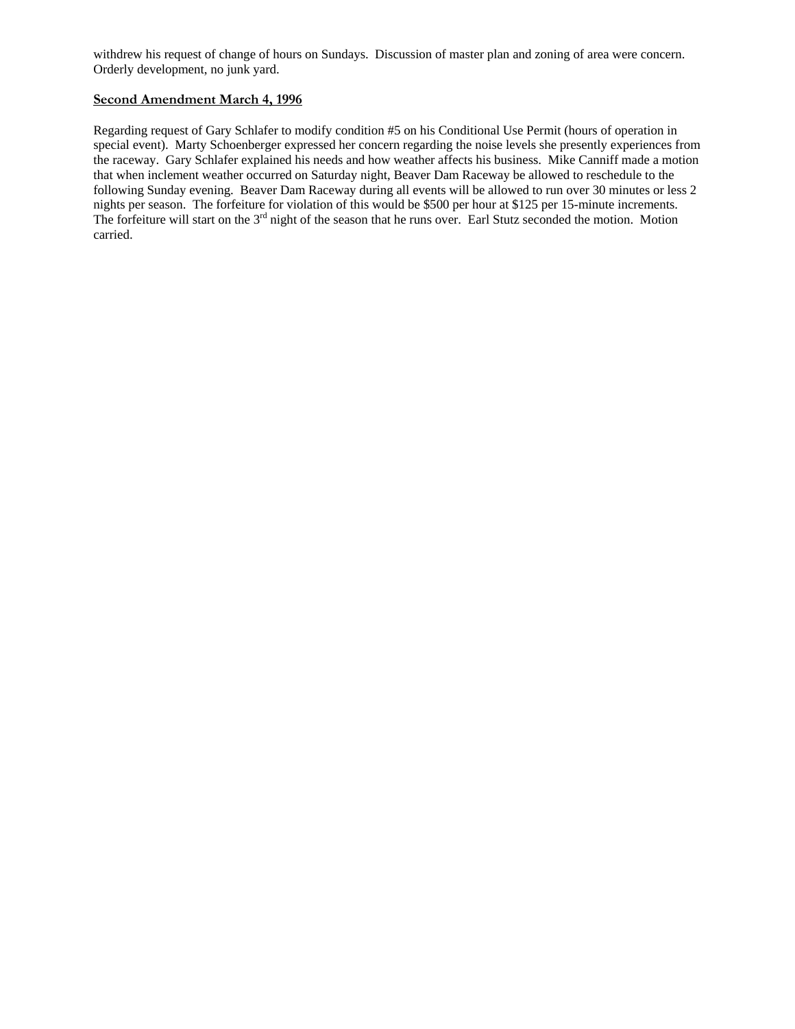withdrew his request of change of hours on Sundays. Discussion of master plan and zoning of area were concern. Orderly development, no junk yard.

#### **Second Amendment March 4, 1996**

Regarding request of Gary Schlafer to modify condition #5 on his Conditional Use Permit (hours of operation in special event). Marty Schoenberger expressed her concern regarding the noise levels she presently experiences from the raceway. Gary Schlafer explained his needs and how weather affects his business. Mike Canniff made a motion that when inclement weather occurred on Saturday night, Beaver Dam Raceway be allowed to reschedule to the following Sunday evening. Beaver Dam Raceway during all events will be allowed to run over 30 minutes or less 2 nights per season. The forfeiture for violation of this would be \$500 per hour at \$125 per 15-minute increments. The forfeiture will start on the 3<sup>rd</sup> night of the season that he runs over. Earl Stutz seconded the motion. Motion carried.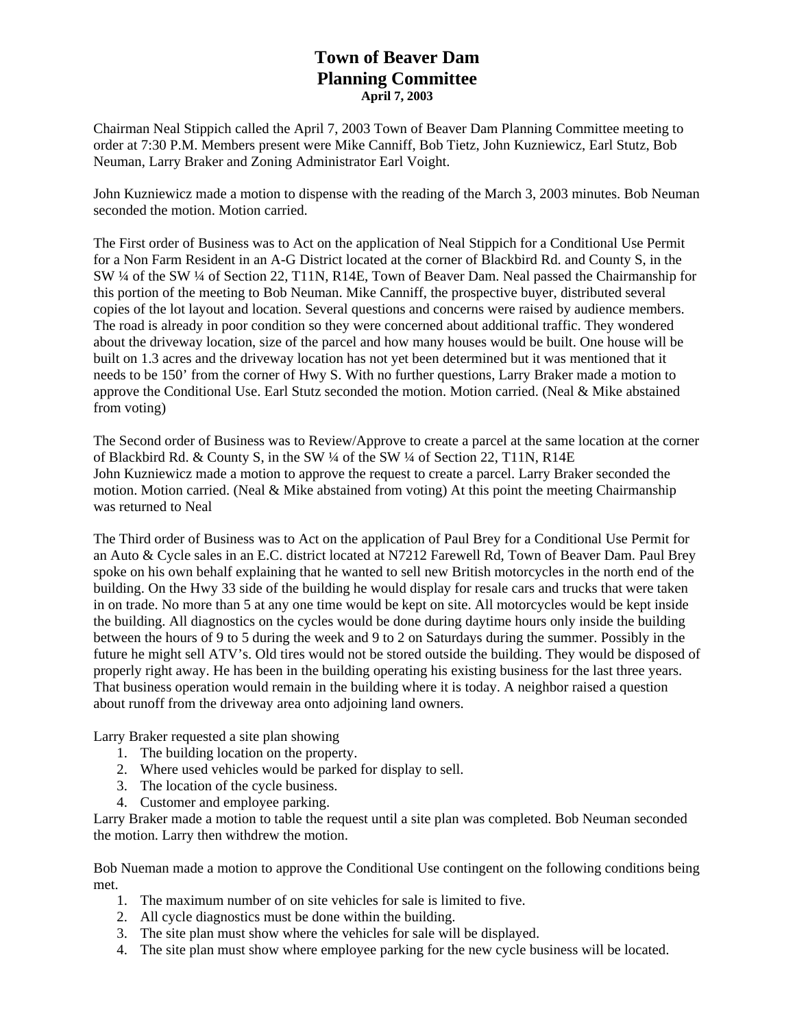# **Town of Beaver Dam Planning Committee April 7, 2003**

Chairman Neal Stippich called the April 7, 2003 Town of Beaver Dam Planning Committee meeting to order at 7:30 P.M. Members present were Mike Canniff, Bob Tietz, John Kuzniewicz, Earl Stutz, Bob Neuman, Larry Braker and Zoning Administrator Earl Voight.

John Kuzniewicz made a motion to dispense with the reading of the March 3, 2003 minutes. Bob Neuman seconded the motion. Motion carried.

The First order of Business was to Act on the application of Neal Stippich for a Conditional Use Permit for a Non Farm Resident in an A-G District located at the corner of Blackbird Rd. and County S, in the SW ¼ of the SW ¼ of Section 22, T11N, R14E, Town of Beaver Dam. Neal passed the Chairmanship for this portion of the meeting to Bob Neuman. Mike Canniff, the prospective buyer, distributed several copies of the lot layout and location. Several questions and concerns were raised by audience members. The road is already in poor condition so they were concerned about additional traffic. They wondered about the driveway location, size of the parcel and how many houses would be built. One house will be built on 1.3 acres and the driveway location has not yet been determined but it was mentioned that it needs to be 150' from the corner of Hwy S. With no further questions, Larry Braker made a motion to approve the Conditional Use. Earl Stutz seconded the motion. Motion carried. (Neal & Mike abstained from voting)

The Second order of Business was to Review/Approve to create a parcel at the same location at the corner of Blackbird Rd. & County S, in the SW ¼ of the SW ¼ of Section 22, T11N, R14E John Kuzniewicz made a motion to approve the request to create a parcel. Larry Braker seconded the motion. Motion carried. (Neal  $\&$  Mike abstained from voting) At this point the meeting Chairmanship was returned to Neal

The Third order of Business was to Act on the application of Paul Brey for a Conditional Use Permit for an Auto & Cycle sales in an E.C. district located at N7212 Farewell Rd, Town of Beaver Dam. Paul Brey spoke on his own behalf explaining that he wanted to sell new British motorcycles in the north end of the building. On the Hwy 33 side of the building he would display for resale cars and trucks that were taken in on trade. No more than 5 at any one time would be kept on site. All motorcycles would be kept inside the building. All diagnostics on the cycles would be done during daytime hours only inside the building between the hours of 9 to 5 during the week and 9 to 2 on Saturdays during the summer. Possibly in the future he might sell ATV's. Old tires would not be stored outside the building. They would be disposed of properly right away. He has been in the building operating his existing business for the last three years. That business operation would remain in the building where it is today. A neighbor raised a question about runoff from the driveway area onto adjoining land owners.

Larry Braker requested a site plan showing

- 1. The building location on the property.
- 2. Where used vehicles would be parked for display to sell.
- 3. The location of the cycle business.
- 4. Customer and employee parking.

Larry Braker made a motion to table the request until a site plan was completed. Bob Neuman seconded the motion. Larry then withdrew the motion.

Bob Nueman made a motion to approve the Conditional Use contingent on the following conditions being met.

- 1. The maximum number of on site vehicles for sale is limited to five.
- 2. All cycle diagnostics must be done within the building.
- 3. The site plan must show where the vehicles for sale will be displayed.
- 4. The site plan must show where employee parking for the new cycle business will be located.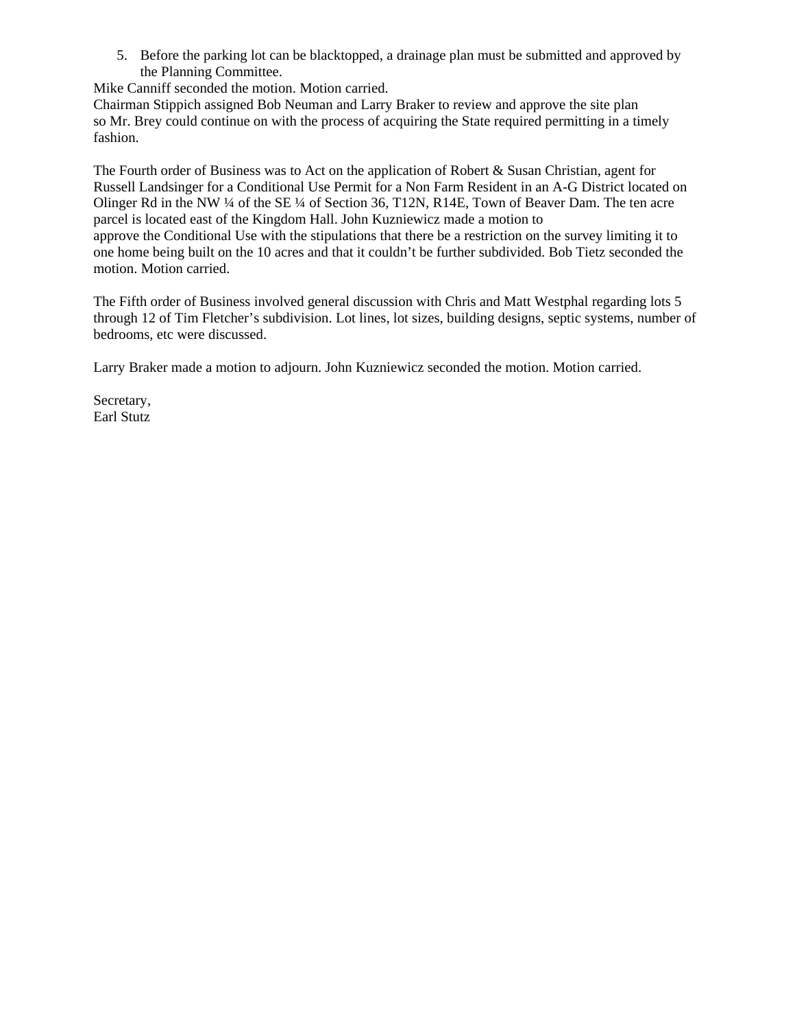5. Before the parking lot can be blacktopped, a drainage plan must be submitted and approved by the Planning Committee.

Mike Canniff seconded the motion. Motion carried.

Chairman Stippich assigned Bob Neuman and Larry Braker to review and approve the site plan so Mr. Brey could continue on with the process of acquiring the State required permitting in a timely fashion.

The Fourth order of Business was to Act on the application of Robert & Susan Christian, agent for Russell Landsinger for a Conditional Use Permit for a Non Farm Resident in an A-G District located on Olinger Rd in the NW ¼ of the SE ¼ of Section 36, T12N, R14E, Town of Beaver Dam. The ten acre parcel is located east of the Kingdom Hall. John Kuzniewicz made a motion to approve the Conditional Use with the stipulations that there be a restriction on the survey limiting it to one home being built on the 10 acres and that it couldn't be further subdivided. Bob Tietz seconded the motion. Motion carried.

The Fifth order of Business involved general discussion with Chris and Matt Westphal regarding lots 5 through 12 of Tim Fletcher's subdivision. Lot lines, lot sizes, building designs, septic systems, number of bedrooms, etc were discussed.

Larry Braker made a motion to adjourn. John Kuzniewicz seconded the motion. Motion carried.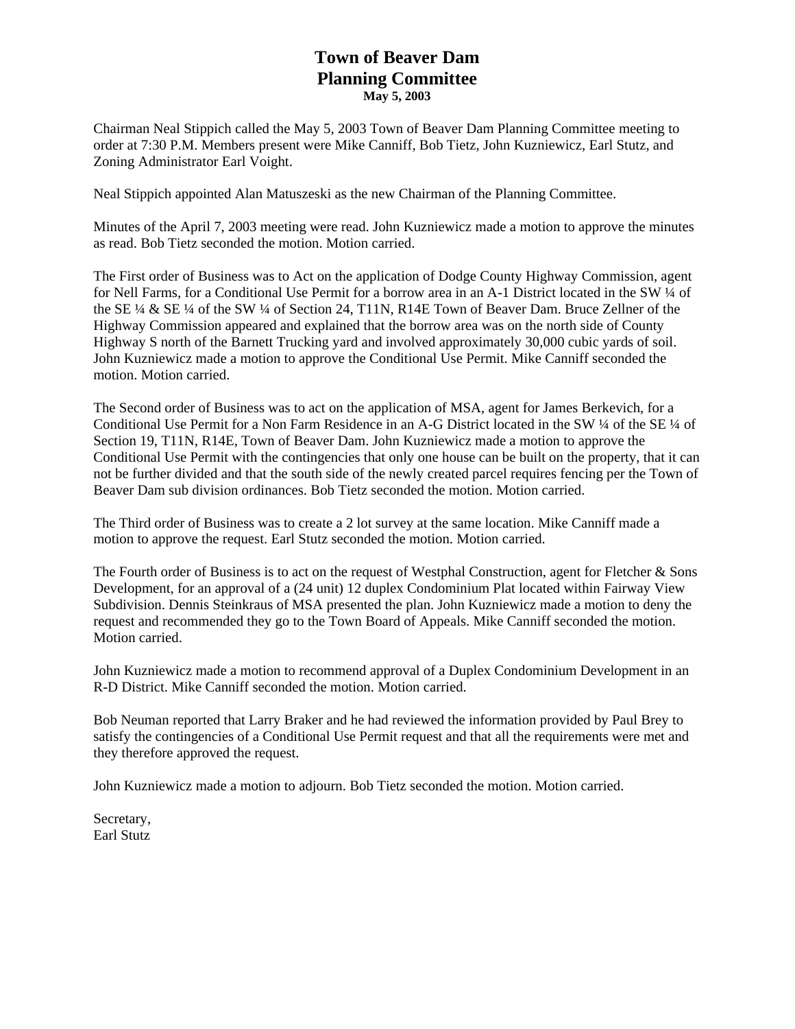# **Town of Beaver Dam Planning Committee May 5, 2003**

Chairman Neal Stippich called the May 5, 2003 Town of Beaver Dam Planning Committee meeting to order at 7:30 P.M. Members present were Mike Canniff, Bob Tietz, John Kuzniewicz, Earl Stutz, and Zoning Administrator Earl Voight.

Neal Stippich appointed Alan Matuszeski as the new Chairman of the Planning Committee.

Minutes of the April 7, 2003 meeting were read. John Kuzniewicz made a motion to approve the minutes as read. Bob Tietz seconded the motion. Motion carried.

The First order of Business was to Act on the application of Dodge County Highway Commission, agent for Nell Farms, for a Conditional Use Permit for a borrow area in an A-1 District located in the SW ¼ of the SE ¼ & SE ¼ of the SW ¼ of Section 24, T11N, R14E Town of Beaver Dam. Bruce Zellner of the Highway Commission appeared and explained that the borrow area was on the north side of County Highway S north of the Barnett Trucking yard and involved approximately 30,000 cubic yards of soil. John Kuzniewicz made a motion to approve the Conditional Use Permit. Mike Canniff seconded the motion. Motion carried.

The Second order of Business was to act on the application of MSA, agent for James Berkevich, for a Conditional Use Permit for a Non Farm Residence in an A-G District located in the SW ¼ of the SE ¼ of Section 19, T11N, R14E, Town of Beaver Dam. John Kuzniewicz made a motion to approve the Conditional Use Permit with the contingencies that only one house can be built on the property, that it can not be further divided and that the south side of the newly created parcel requires fencing per the Town of Beaver Dam sub division ordinances. Bob Tietz seconded the motion. Motion carried.

The Third order of Business was to create a 2 lot survey at the same location. Mike Canniff made a motion to approve the request. Earl Stutz seconded the motion. Motion carried.

The Fourth order of Business is to act on the request of Westphal Construction, agent for Fletcher & Sons Development, for an approval of a (24 unit) 12 duplex Condominium Plat located within Fairway View Subdivision. Dennis Steinkraus of MSA presented the plan. John Kuzniewicz made a motion to deny the request and recommended they go to the Town Board of Appeals. Mike Canniff seconded the motion. Motion carried.

John Kuzniewicz made a motion to recommend approval of a Duplex Condominium Development in an R-D District. Mike Canniff seconded the motion. Motion carried.

Bob Neuman reported that Larry Braker and he had reviewed the information provided by Paul Brey to satisfy the contingencies of a Conditional Use Permit request and that all the requirements were met and they therefore approved the request.

John Kuzniewicz made a motion to adjourn. Bob Tietz seconded the motion. Motion carried.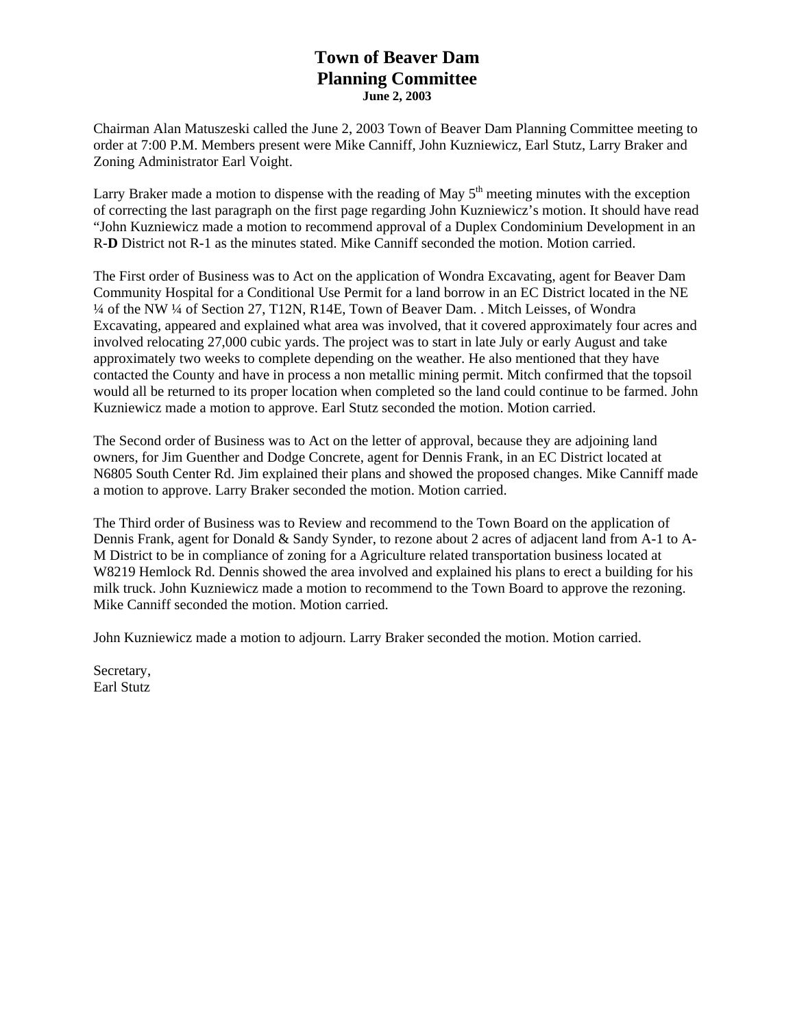## **Town of Beaver Dam Planning Committee June 2, 2003**

Chairman Alan Matuszeski called the June 2, 2003 Town of Beaver Dam Planning Committee meeting to order at 7:00 P.M. Members present were Mike Canniff, John Kuzniewicz, Earl Stutz, Larry Braker and Zoning Administrator Earl Voight.

Larry Braker made a motion to dispense with the reading of May  $5<sup>th</sup>$  meeting minutes with the exception of correcting the last paragraph on the first page regarding John Kuzniewicz's motion. It should have read "John Kuzniewicz made a motion to recommend approval of a Duplex Condominium Development in an R-**D** District not R-1 as the minutes stated. Mike Canniff seconded the motion. Motion carried.

The First order of Business was to Act on the application of Wondra Excavating, agent for Beaver Dam Community Hospital for a Conditional Use Permit for a land borrow in an EC District located in the NE ¼ of the NW ¼ of Section 27, T12N, R14E, Town of Beaver Dam. . Mitch Leisses, of Wondra Excavating, appeared and explained what area was involved, that it covered approximately four acres and involved relocating 27,000 cubic yards. The project was to start in late July or early August and take approximately two weeks to complete depending on the weather. He also mentioned that they have contacted the County and have in process a non metallic mining permit. Mitch confirmed that the topsoil would all be returned to its proper location when completed so the land could continue to be farmed. John Kuzniewicz made a motion to approve. Earl Stutz seconded the motion. Motion carried.

The Second order of Business was to Act on the letter of approval, because they are adjoining land owners, for Jim Guenther and Dodge Concrete, agent for Dennis Frank, in an EC District located at N6805 South Center Rd. Jim explained their plans and showed the proposed changes. Mike Canniff made a motion to approve. Larry Braker seconded the motion. Motion carried.

The Third order of Business was to Review and recommend to the Town Board on the application of Dennis Frank, agent for Donald & Sandy Synder, to rezone about 2 acres of adjacent land from A-1 to A-M District to be in compliance of zoning for a Agriculture related transportation business located at W8219 Hemlock Rd. Dennis showed the area involved and explained his plans to erect a building for his milk truck. John Kuzniewicz made a motion to recommend to the Town Board to approve the rezoning. Mike Canniff seconded the motion. Motion carried.

John Kuzniewicz made a motion to adjourn. Larry Braker seconded the motion. Motion carried.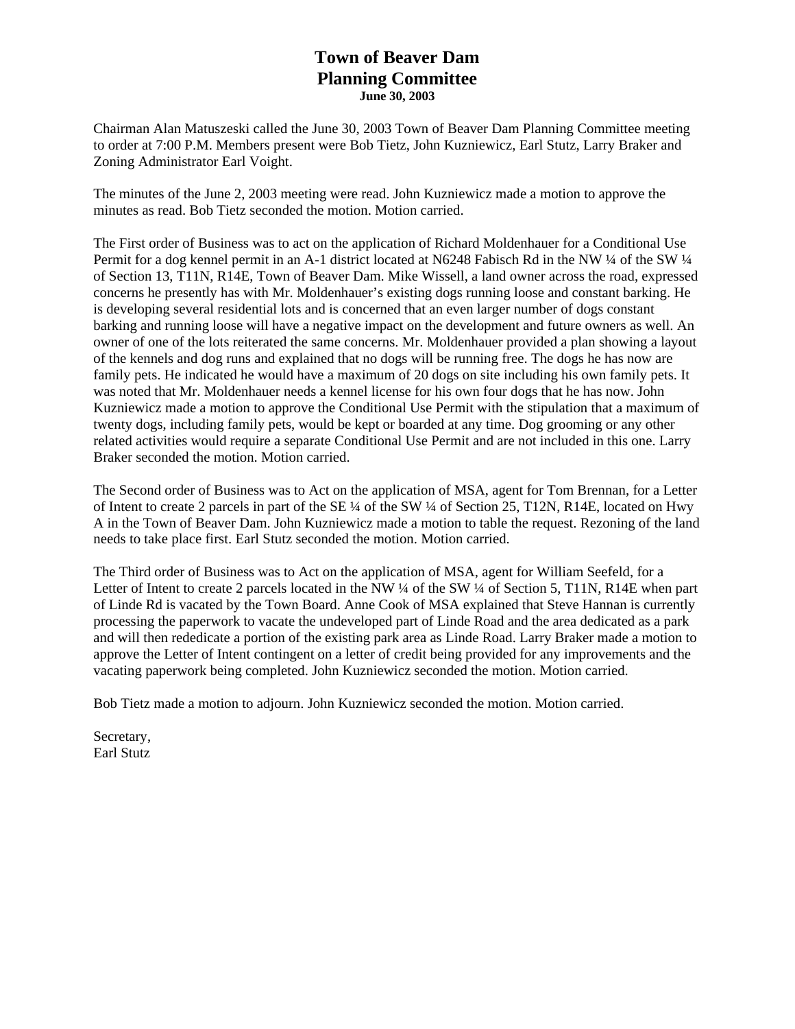## **Town of Beaver Dam Planning Committee June 30, 2003**

Chairman Alan Matuszeski called the June 30, 2003 Town of Beaver Dam Planning Committee meeting to order at 7:00 P.M. Members present were Bob Tietz, John Kuzniewicz, Earl Stutz, Larry Braker and Zoning Administrator Earl Voight.

The minutes of the June 2, 2003 meeting were read. John Kuzniewicz made a motion to approve the minutes as read. Bob Tietz seconded the motion. Motion carried.

The First order of Business was to act on the application of Richard Moldenhauer for a Conditional Use Permit for a dog kennel permit in an A-1 district located at N6248 Fabisch Rd in the NW ¼ of the SW ¼ of Section 13, T11N, R14E, Town of Beaver Dam. Mike Wissell, a land owner across the road, expressed concerns he presently has with Mr. Moldenhauer's existing dogs running loose and constant barking. He is developing several residential lots and is concerned that an even larger number of dogs constant barking and running loose will have a negative impact on the development and future owners as well. An owner of one of the lots reiterated the same concerns. Mr. Moldenhauer provided a plan showing a layout of the kennels and dog runs and explained that no dogs will be running free. The dogs he has now are family pets. He indicated he would have a maximum of 20 dogs on site including his own family pets. It was noted that Mr. Moldenhauer needs a kennel license for his own four dogs that he has now. John Kuzniewicz made a motion to approve the Conditional Use Permit with the stipulation that a maximum of twenty dogs, including family pets, would be kept or boarded at any time. Dog grooming or any other related activities would require a separate Conditional Use Permit and are not included in this one. Larry Braker seconded the motion. Motion carried.

The Second order of Business was to Act on the application of MSA, agent for Tom Brennan, for a Letter of Intent to create 2 parcels in part of the SE ¼ of the SW ¼ of Section 25, T12N, R14E, located on Hwy A in the Town of Beaver Dam. John Kuzniewicz made a motion to table the request. Rezoning of the land needs to take place first. Earl Stutz seconded the motion. Motion carried.

The Third order of Business was to Act on the application of MSA, agent for William Seefeld, for a Letter of Intent to create 2 parcels located in the NW ¼ of the SW ¼ of Section 5, T11N, R14E when part of Linde Rd is vacated by the Town Board. Anne Cook of MSA explained that Steve Hannan is currently processing the paperwork to vacate the undeveloped part of Linde Road and the area dedicated as a park and will then rededicate a portion of the existing park area as Linde Road. Larry Braker made a motion to approve the Letter of Intent contingent on a letter of credit being provided for any improvements and the vacating paperwork being completed. John Kuzniewicz seconded the motion. Motion carried.

Bob Tietz made a motion to adjourn. John Kuzniewicz seconded the motion. Motion carried.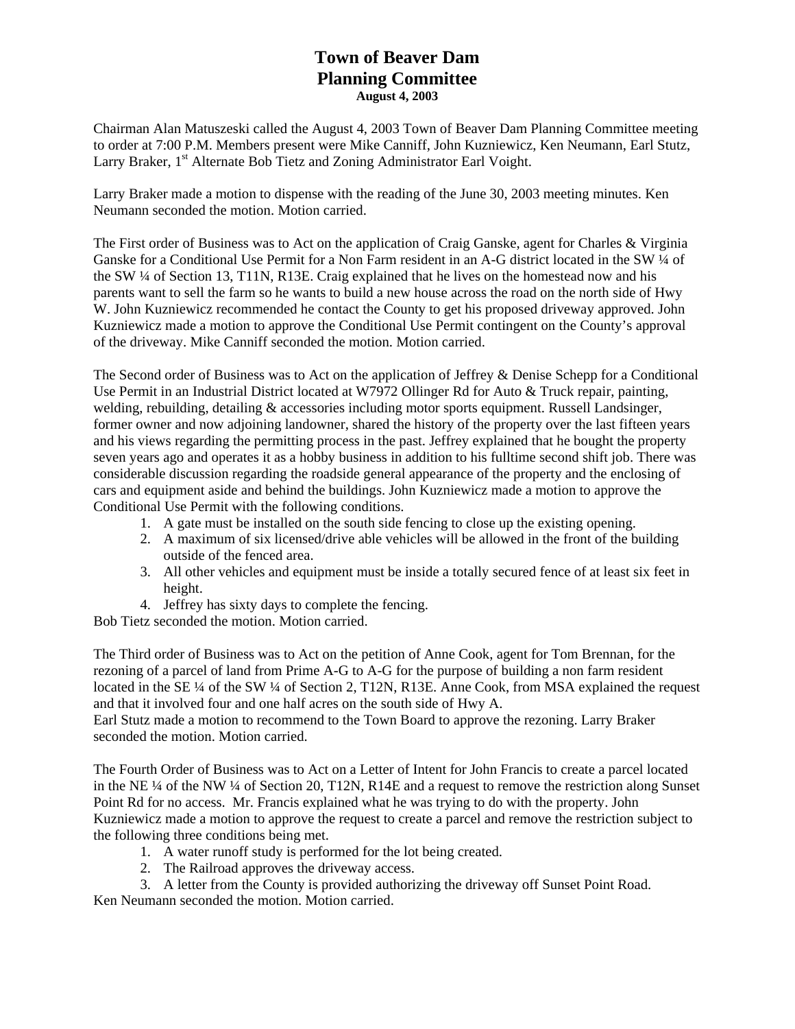# **Town of Beaver Dam Planning Committee August 4, 2003**

Chairman Alan Matuszeski called the August 4, 2003 Town of Beaver Dam Planning Committee meeting to order at 7:00 P.M. Members present were Mike Canniff, John Kuzniewicz, Ken Neumann, Earl Stutz, Larry Braker, 1<sup>st</sup> Alternate Bob Tietz and Zoning Administrator Earl Voight.

Larry Braker made a motion to dispense with the reading of the June 30, 2003 meeting minutes. Ken Neumann seconded the motion. Motion carried.

The First order of Business was to Act on the application of Craig Ganske, agent for Charles & Virginia Ganske for a Conditional Use Permit for a Non Farm resident in an A-G district located in the SW ¼ of the SW ¼ of Section 13, T11N, R13E. Craig explained that he lives on the homestead now and his parents want to sell the farm so he wants to build a new house across the road on the north side of Hwy W. John Kuzniewicz recommended he contact the County to get his proposed driveway approved. John Kuzniewicz made a motion to approve the Conditional Use Permit contingent on the County's approval of the driveway. Mike Canniff seconded the motion. Motion carried.

The Second order of Business was to Act on the application of Jeffrey & Denise Schepp for a Conditional Use Permit in an Industrial District located at W7972 Ollinger Rd for Auto & Truck repair, painting, welding, rebuilding, detailing & accessories including motor sports equipment. Russell Landsinger, former owner and now adjoining landowner, shared the history of the property over the last fifteen years and his views regarding the permitting process in the past. Jeffrey explained that he bought the property seven years ago and operates it as a hobby business in addition to his fulltime second shift job. There was considerable discussion regarding the roadside general appearance of the property and the enclosing of cars and equipment aside and behind the buildings. John Kuzniewicz made a motion to approve the Conditional Use Permit with the following conditions.

- 1. A gate must be installed on the south side fencing to close up the existing opening.
- 2. A maximum of six licensed/drive able vehicles will be allowed in the front of the building outside of the fenced area.
- 3. All other vehicles and equipment must be inside a totally secured fence of at least six feet in height.
- 4. Jeffrey has sixty days to complete the fencing.

Bob Tietz seconded the motion. Motion carried.

The Third order of Business was to Act on the petition of Anne Cook, agent for Tom Brennan, for the rezoning of a parcel of land from Prime A-G to A-G for the purpose of building a non farm resident located in the SE ¼ of the SW ¼ of Section 2, T12N, R13E. Anne Cook, from MSA explained the request and that it involved four and one half acres on the south side of Hwy A.

Earl Stutz made a motion to recommend to the Town Board to approve the rezoning. Larry Braker seconded the motion. Motion carried.

The Fourth Order of Business was to Act on a Letter of Intent for John Francis to create a parcel located in the NE ¼ of the NW ¼ of Section 20, T12N, R14E and a request to remove the restriction along Sunset Point Rd for no access. Mr. Francis explained what he was trying to do with the property. John Kuzniewicz made a motion to approve the request to create a parcel and remove the restriction subject to the following three conditions being met.

- 1. A water runoff study is performed for the lot being created.
- 2. The Railroad approves the driveway access.
- 3. A letter from the County is provided authorizing the driveway off Sunset Point Road. Ken Neumann seconded the motion. Motion carried.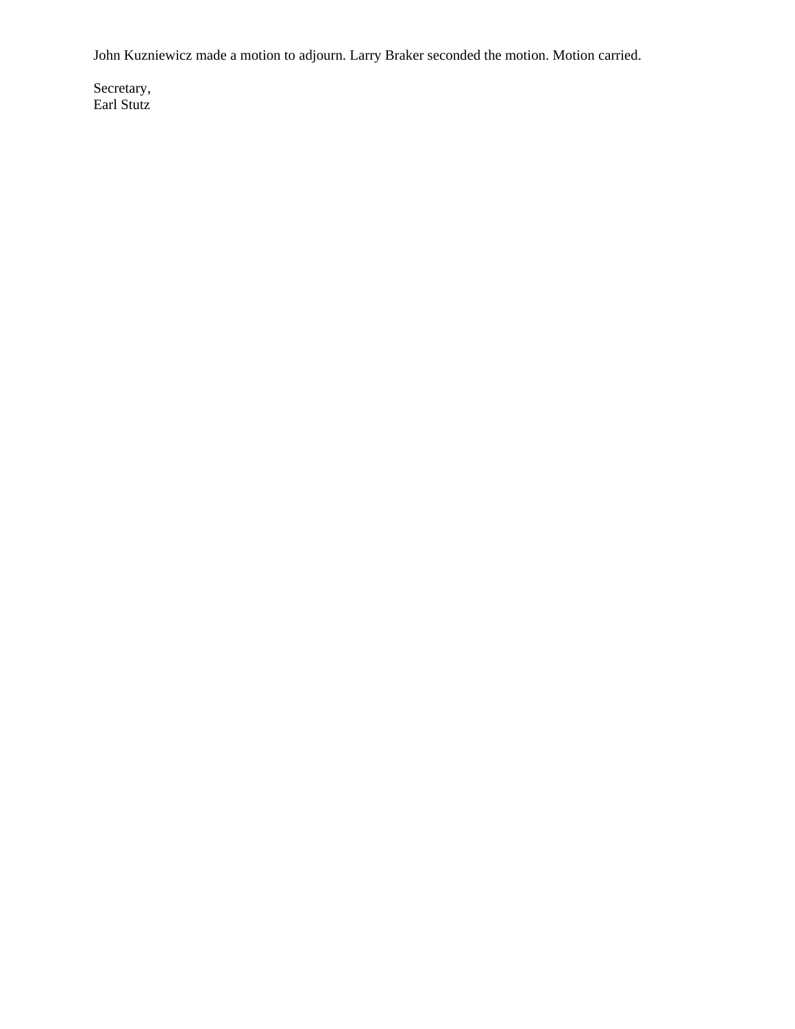John Kuzniewicz made a motion to adjourn. Larry Braker seconded the motion. Motion carried.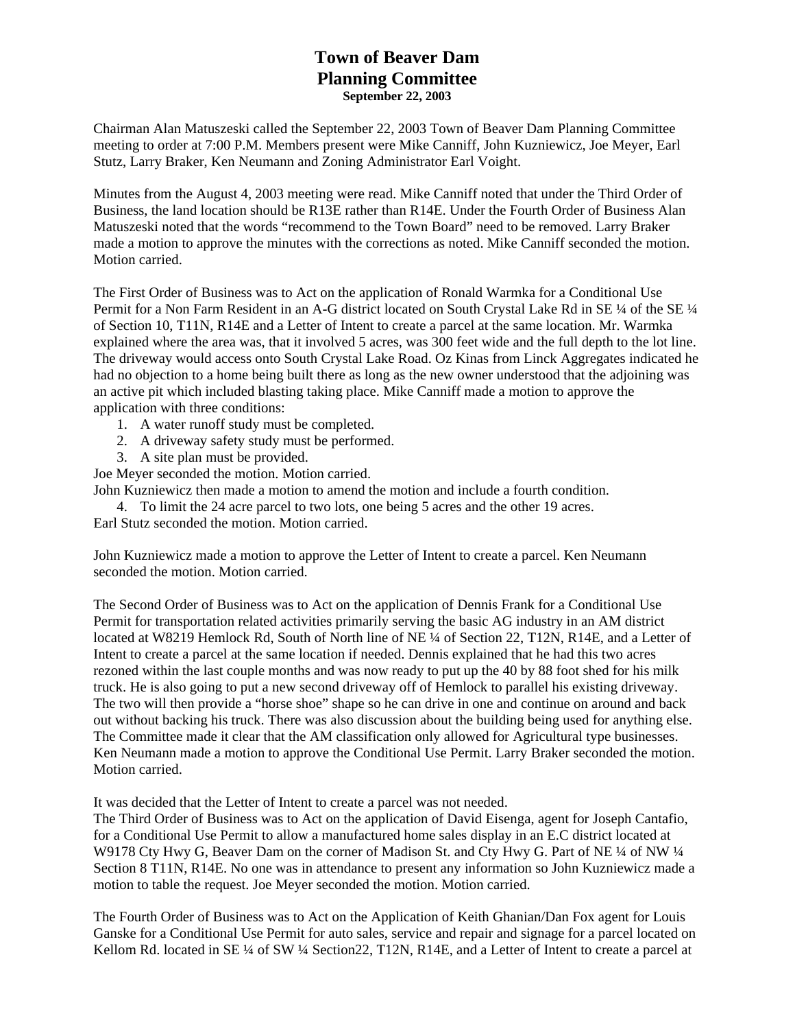## **Town of Beaver Dam Planning Committee September 22, 2003**

Chairman Alan Matuszeski called the September 22, 2003 Town of Beaver Dam Planning Committee meeting to order at 7:00 P.M. Members present were Mike Canniff, John Kuzniewicz, Joe Meyer, Earl Stutz, Larry Braker, Ken Neumann and Zoning Administrator Earl Voight.

Minutes from the August 4, 2003 meeting were read. Mike Canniff noted that under the Third Order of Business, the land location should be R13E rather than R14E. Under the Fourth Order of Business Alan Matuszeski noted that the words "recommend to the Town Board" need to be removed. Larry Braker made a motion to approve the minutes with the corrections as noted. Mike Canniff seconded the motion. Motion carried.

The First Order of Business was to Act on the application of Ronald Warmka for a Conditional Use Permit for a Non Farm Resident in an A-G district located on South Crystal Lake Rd in SE ¼ of the SE ¼ of Section 10, T11N, R14E and a Letter of Intent to create a parcel at the same location. Mr. Warmka explained where the area was, that it involved 5 acres, was 300 feet wide and the full depth to the lot line. The driveway would access onto South Crystal Lake Road. Oz Kinas from Linck Aggregates indicated he had no objection to a home being built there as long as the new owner understood that the adjoining was an active pit which included blasting taking place. Mike Canniff made a motion to approve the application with three conditions:

- 1. A water runoff study must be completed.
- 2. A driveway safety study must be performed.
- 3. A site plan must be provided.

Joe Meyer seconded the motion. Motion carried.

John Kuzniewicz then made a motion to amend the motion and include a fourth condition.

4. To limit the 24 acre parcel to two lots, one being 5 acres and the other 19 acres.

Earl Stutz seconded the motion. Motion carried.

John Kuzniewicz made a motion to approve the Letter of Intent to create a parcel. Ken Neumann seconded the motion. Motion carried.

The Second Order of Business was to Act on the application of Dennis Frank for a Conditional Use Permit for transportation related activities primarily serving the basic AG industry in an AM district located at W8219 Hemlock Rd, South of North line of NE ¼ of Section 22, T12N, R14E, and a Letter of Intent to create a parcel at the same location if needed. Dennis explained that he had this two acres rezoned within the last couple months and was now ready to put up the 40 by 88 foot shed for his milk truck. He is also going to put a new second driveway off of Hemlock to parallel his existing driveway. The two will then provide a "horse shoe" shape so he can drive in one and continue on around and back out without backing his truck. There was also discussion about the building being used for anything else. The Committee made it clear that the AM classification only allowed for Agricultural type businesses. Ken Neumann made a motion to approve the Conditional Use Permit. Larry Braker seconded the motion. Motion carried.

It was decided that the Letter of Intent to create a parcel was not needed.

The Third Order of Business was to Act on the application of David Eisenga, agent for Joseph Cantafio, for a Conditional Use Permit to allow a manufactured home sales display in an E.C district located at W9178 Cty Hwy G, Beaver Dam on the corner of Madison St. and Cty Hwy G. Part of NE 1/4 of NW 1/4 Section 8 T11N, R14E. No one was in attendance to present any information so John Kuzniewicz made a motion to table the request. Joe Meyer seconded the motion. Motion carried.

The Fourth Order of Business was to Act on the Application of Keith Ghanian/Dan Fox agent for Louis Ganske for a Conditional Use Permit for auto sales, service and repair and signage for a parcel located on Kellom Rd. located in SE ¼ of SW ¼ Section 22, T12N, R14E, and a Letter of Intent to create a parcel at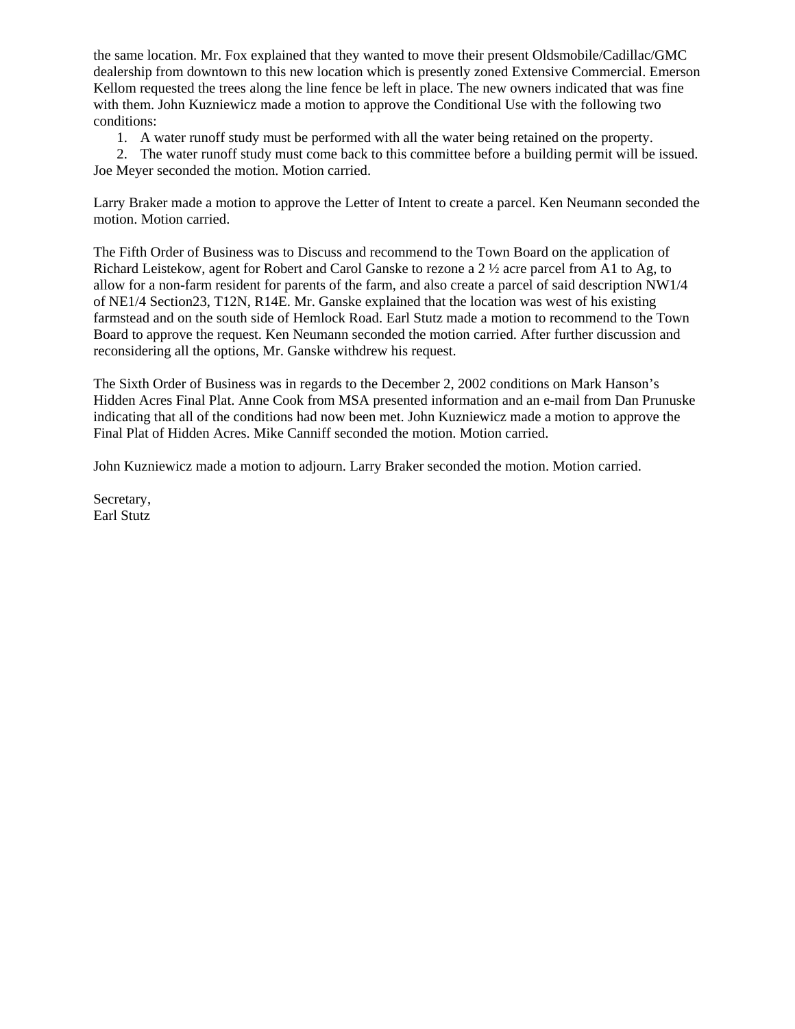the same location. Mr. Fox explained that they wanted to move their present Oldsmobile/Cadillac/GMC dealership from downtown to this new location which is presently zoned Extensive Commercial. Emerson Kellom requested the trees along the line fence be left in place. The new owners indicated that was fine with them. John Kuzniewicz made a motion to approve the Conditional Use with the following two conditions:

1. A water runoff study must be performed with all the water being retained on the property.

2. The water runoff study must come back to this committee before a building permit will be issued. Joe Meyer seconded the motion. Motion carried.

Larry Braker made a motion to approve the Letter of Intent to create a parcel. Ken Neumann seconded the motion. Motion carried.

The Fifth Order of Business was to Discuss and recommend to the Town Board on the application of Richard Leistekow, agent for Robert and Carol Ganske to rezone a 2 ½ acre parcel from A1 to Ag, to allow for a non-farm resident for parents of the farm, and also create a parcel of said description NW1/4 of NE1/4 Section23, T12N, R14E. Mr. Ganske explained that the location was west of his existing farmstead and on the south side of Hemlock Road. Earl Stutz made a motion to recommend to the Town Board to approve the request. Ken Neumann seconded the motion carried. After further discussion and reconsidering all the options, Mr. Ganske withdrew his request.

The Sixth Order of Business was in regards to the December 2, 2002 conditions on Mark Hanson's Hidden Acres Final Plat. Anne Cook from MSA presented information and an e-mail from Dan Prunuske indicating that all of the conditions had now been met. John Kuzniewicz made a motion to approve the Final Plat of Hidden Acres. Mike Canniff seconded the motion. Motion carried.

John Kuzniewicz made a motion to adjourn. Larry Braker seconded the motion. Motion carried.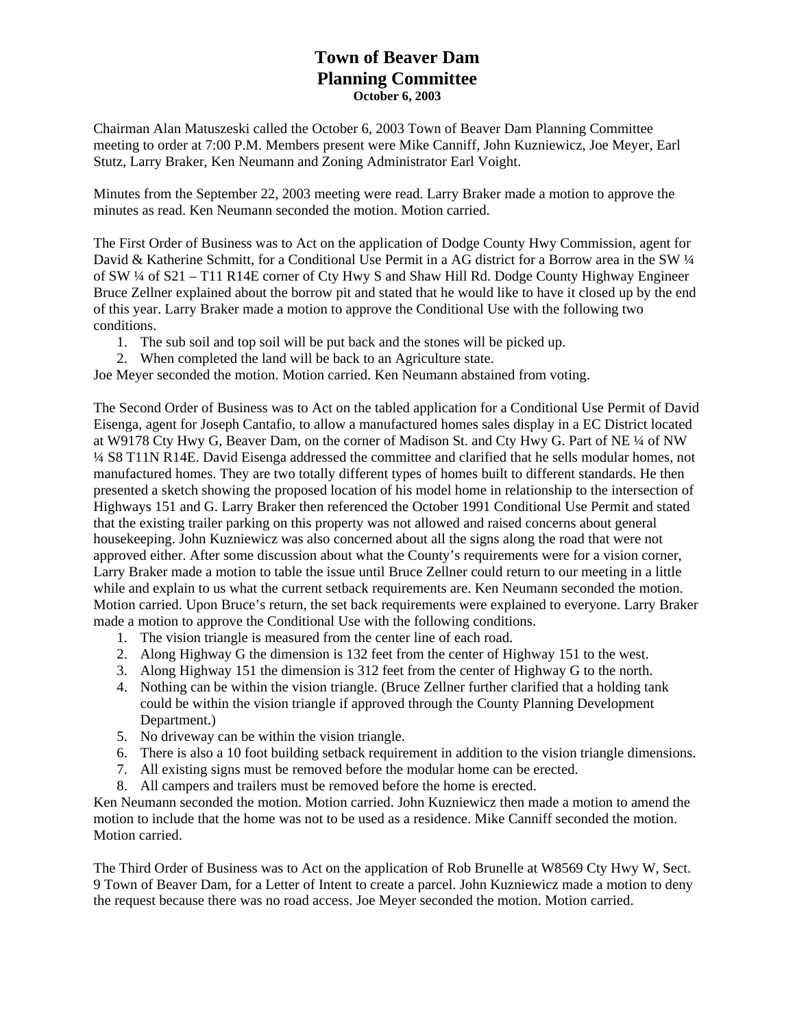## **Town of Beaver Dam Planning Committee October 6, 2003**

Chairman Alan Matuszeski called the October 6, 2003 Town of Beaver Dam Planning Committee meeting to order at 7:00 P.M. Members present were Mike Canniff, John Kuzniewicz, Joe Meyer, Earl Stutz, Larry Braker, Ken Neumann and Zoning Administrator Earl Voight.

Minutes from the September 22, 2003 meeting were read. Larry Braker made a motion to approve the minutes as read. Ken Neumann seconded the motion. Motion carried.

The First Order of Business was to Act on the application of Dodge County Hwy Commission, agent for David & Katherine Schmitt, for a Conditional Use Permit in a AG district for a Borrow area in the SW  $\frac{1}{4}$ of SW ¼ of S21 – T11 R14E corner of Cty Hwy S and Shaw Hill Rd. Dodge County Highway Engineer Bruce Zellner explained about the borrow pit and stated that he would like to have it closed up by the end of this year. Larry Braker made a motion to approve the Conditional Use with the following two conditions.

- 1. The sub soil and top soil will be put back and the stones will be picked up.
- 2. When completed the land will be back to an Agriculture state.

Joe Meyer seconded the motion. Motion carried. Ken Neumann abstained from voting.

The Second Order of Business was to Act on the tabled application for a Conditional Use Permit of David Eisenga, agent for Joseph Cantafio, to allow a manufactured homes sales display in a EC District located at W9178 Cty Hwy G, Beaver Dam, on the corner of Madison St. and Cty Hwy G. Part of NE ¼ of NW ¼ S8 T11N R14E. David Eisenga addressed the committee and clarified that he sells modular homes, not manufactured homes. They are two totally different types of homes built to different standards. He then presented a sketch showing the proposed location of his model home in relationship to the intersection of Highways 151 and G. Larry Braker then referenced the October 1991 Conditional Use Permit and stated that the existing trailer parking on this property was not allowed and raised concerns about general housekeeping. John Kuzniewicz was also concerned about all the signs along the road that were not approved either. After some discussion about what the County's requirements were for a vision corner, Larry Braker made a motion to table the issue until Bruce Zellner could return to our meeting in a little while and explain to us what the current setback requirements are. Ken Neumann seconded the motion. Motion carried. Upon Bruce's return, the set back requirements were explained to everyone. Larry Braker made a motion to approve the Conditional Use with the following conditions.

- 1. The vision triangle is measured from the center line of each road.
- 2. Along Highway G the dimension is 132 feet from the center of Highway 151 to the west.
- 3. Along Highway 151 the dimension is 312 feet from the center of Highway G to the north.
- 4. Nothing can be within the vision triangle. (Bruce Zellner further clarified that a holding tank could be within the vision triangle if approved through the County Planning Development Department.)
- 5. No driveway can be within the vision triangle.
- 6. There is also a 10 foot building setback requirement in addition to the vision triangle dimensions.
- 7. All existing signs must be removed before the modular home can be erected.
- 8. All campers and trailers must be removed before the home is erected.

Ken Neumann seconded the motion. Motion carried. John Kuzniewicz then made a motion to amend the motion to include that the home was not to be used as a residence. Mike Canniff seconded the motion. Motion carried.

The Third Order of Business was to Act on the application of Rob Brunelle at W8569 Cty Hwy W, Sect. 9 Town of Beaver Dam, for a Letter of Intent to create a parcel. John Kuzniewicz made a motion to deny the request because there was no road access. Joe Meyer seconded the motion. Motion carried.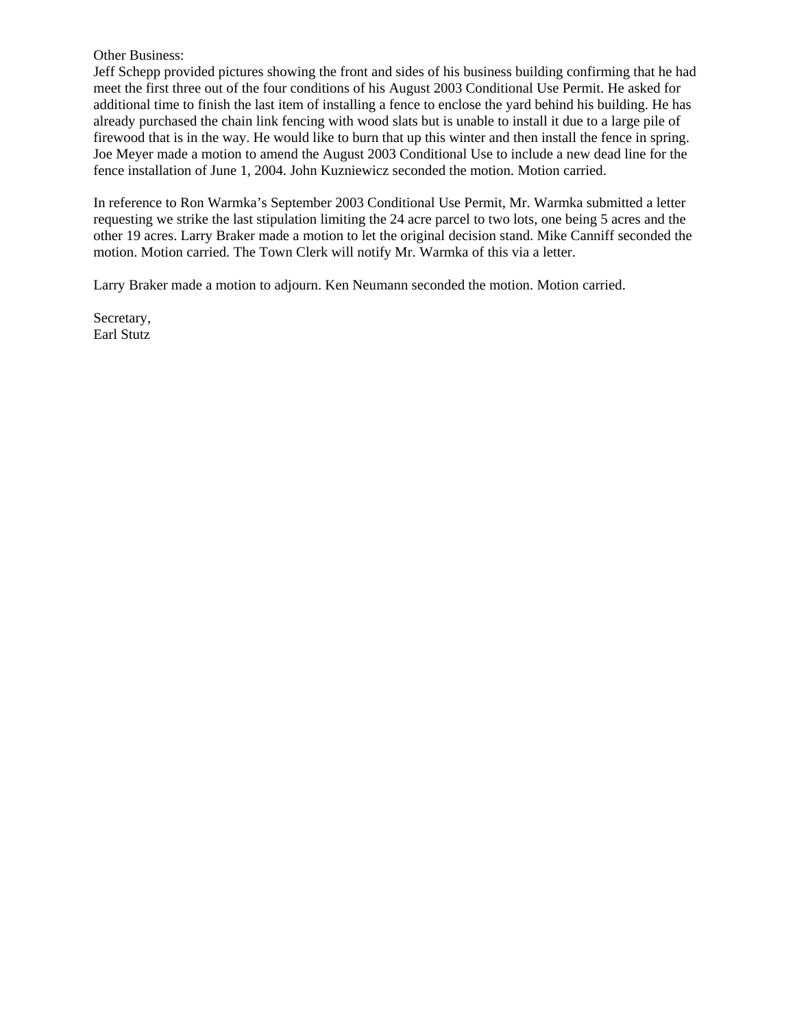#### Other Business:

Jeff Schepp provided pictures showing the front and sides of his business building confirming that he had meet the first three out of the four conditions of his August 2003 Conditional Use Permit. He asked for additional time to finish the last item of installing a fence to enclose the yard behind his building. He has already purchased the chain link fencing with wood slats but is unable to install it due to a large pile of firewood that is in the way. He would like to burn that up this winter and then install the fence in spring. Joe Meyer made a motion to amend the August 2003 Conditional Use to include a new dead line for the fence installation of June 1, 2004. John Kuzniewicz seconded the motion. Motion carried.

In reference to Ron Warmka's September 2003 Conditional Use Permit, Mr. Warmka submitted a letter requesting we strike the last stipulation limiting the 24 acre parcel to two lots, one being 5 acres and the other 19 acres. Larry Braker made a motion to let the original decision stand. Mike Canniff seconded the motion. Motion carried. The Town Clerk will notify Mr. Warmka of this via a letter.

Larry Braker made a motion to adjourn. Ken Neumann seconded the motion. Motion carried.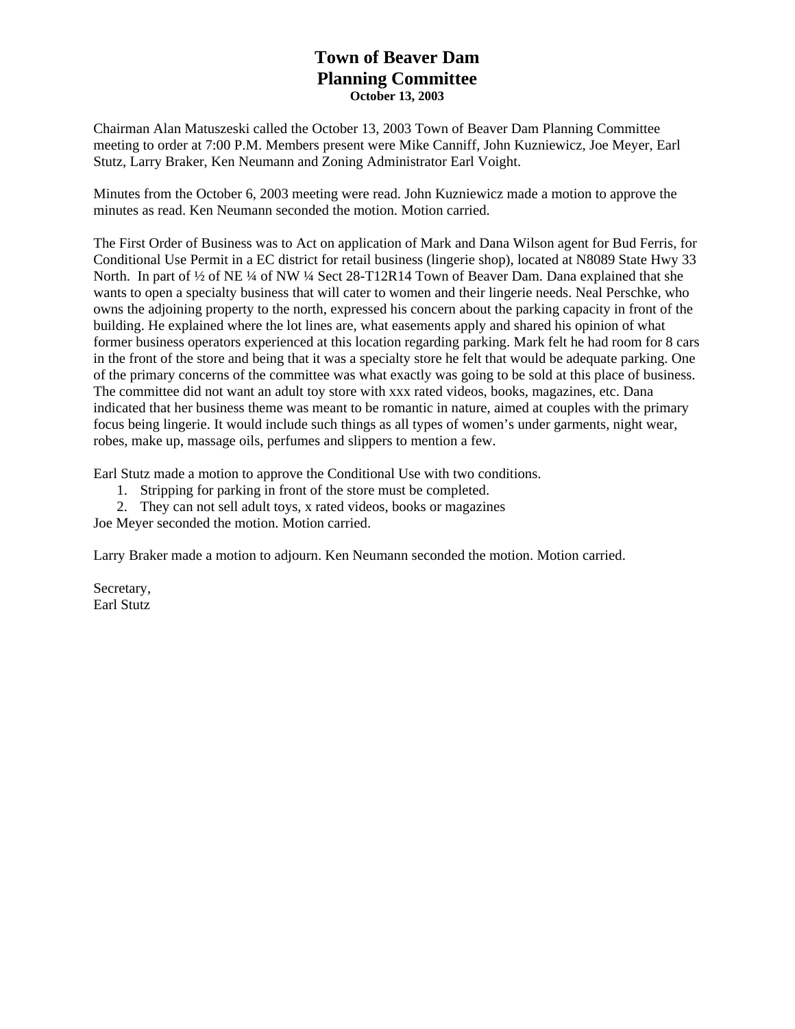# **Town of Beaver Dam Planning Committee October 13, 2003**

Chairman Alan Matuszeski called the October 13, 2003 Town of Beaver Dam Planning Committee meeting to order at 7:00 P.M. Members present were Mike Canniff, John Kuzniewicz, Joe Meyer, Earl Stutz, Larry Braker, Ken Neumann and Zoning Administrator Earl Voight.

Minutes from the October 6, 2003 meeting were read. John Kuzniewicz made a motion to approve the minutes as read. Ken Neumann seconded the motion. Motion carried.

The First Order of Business was to Act on application of Mark and Dana Wilson agent for Bud Ferris, for Conditional Use Permit in a EC district for retail business (lingerie shop), located at N8089 State Hwy 33 North. In part of ½ of NE ¼ of NW ¼ Sect 28-T12R14 Town of Beaver Dam. Dana explained that she wants to open a specialty business that will cater to women and their lingerie needs. Neal Perschke, who owns the adjoining property to the north, expressed his concern about the parking capacity in front of the building. He explained where the lot lines are, what easements apply and shared his opinion of what former business operators experienced at this location regarding parking. Mark felt he had room for 8 cars in the front of the store and being that it was a specialty store he felt that would be adequate parking. One of the primary concerns of the committee was what exactly was going to be sold at this place of business. The committee did not want an adult toy store with xxx rated videos, books, magazines, etc. Dana indicated that her business theme was meant to be romantic in nature, aimed at couples with the primary focus being lingerie. It would include such things as all types of women's under garments, night wear, robes, make up, massage oils, perfumes and slippers to mention a few.

Earl Stutz made a motion to approve the Conditional Use with two conditions.

1. Stripping for parking in front of the store must be completed.

2. They can not sell adult toys, x rated videos, books or magazines

Joe Meyer seconded the motion. Motion carried.

Larry Braker made a motion to adjourn. Ken Neumann seconded the motion. Motion carried.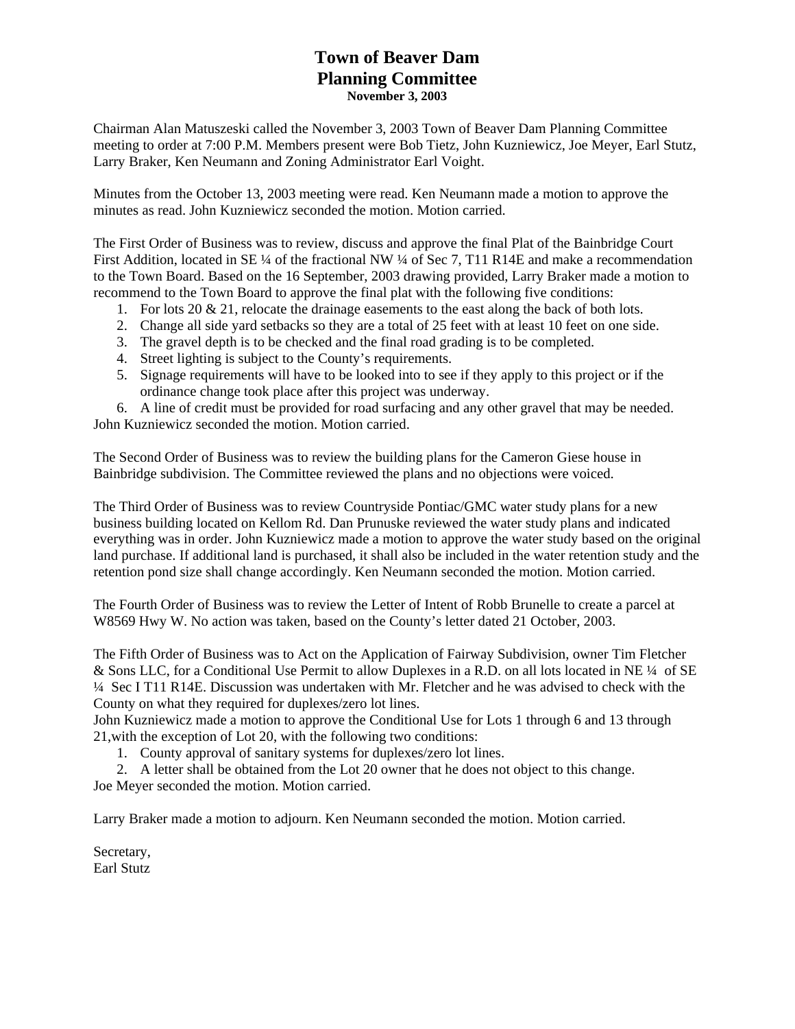## **Town of Beaver Dam Planning Committee November 3, 2003**

Chairman Alan Matuszeski called the November 3, 2003 Town of Beaver Dam Planning Committee meeting to order at 7:00 P.M. Members present were Bob Tietz, John Kuzniewicz, Joe Meyer, Earl Stutz, Larry Braker, Ken Neumann and Zoning Administrator Earl Voight.

Minutes from the October 13, 2003 meeting were read. Ken Neumann made a motion to approve the minutes as read. John Kuzniewicz seconded the motion. Motion carried.

The First Order of Business was to review, discuss and approve the final Plat of the Bainbridge Court First Addition, located in SE ¼ of the fractional NW ¼ of Sec 7, T11 R14E and make a recommendation to the Town Board. Based on the 16 September, 2003 drawing provided, Larry Braker made a motion to recommend to the Town Board to approve the final plat with the following five conditions:

- 1. For lots 20 & 21, relocate the drainage easements to the east along the back of both lots.
- 2. Change all side yard setbacks so they are a total of 25 feet with at least 10 feet on one side.
- 3. The gravel depth is to be checked and the final road grading is to be completed.
- 4. Street lighting is subject to the County's requirements.
- 5. Signage requirements will have to be looked into to see if they apply to this project or if the ordinance change took place after this project was underway.

6. A line of credit must be provided for road surfacing and any other gravel that may be needed. John Kuzniewicz seconded the motion. Motion carried.

The Second Order of Business was to review the building plans for the Cameron Giese house in Bainbridge subdivision. The Committee reviewed the plans and no objections were voiced.

The Third Order of Business was to review Countryside Pontiac/GMC water study plans for a new business building located on Kellom Rd. Dan Prunuske reviewed the water study plans and indicated everything was in order. John Kuzniewicz made a motion to approve the water study based on the original land purchase. If additional land is purchased, it shall also be included in the water retention study and the retention pond size shall change accordingly. Ken Neumann seconded the motion. Motion carried.

The Fourth Order of Business was to review the Letter of Intent of Robb Brunelle to create a parcel at W8569 Hwy W. No action was taken, based on the County's letter dated 21 October, 2003.

The Fifth Order of Business was to Act on the Application of Fairway Subdivision, owner Tim Fletcher & Sons LLC, for a Conditional Use Permit to allow Duplexes in a R.D. on all lots located in NE ¼ of SE ¼ Sec I T11 R14E. Discussion was undertaken with Mr. Fletcher and he was advised to check with the County on what they required for duplexes/zero lot lines.

John Kuzniewicz made a motion to approve the Conditional Use for Lots 1 through 6 and 13 through 21,with the exception of Lot 20, with the following two conditions:

1. County approval of sanitary systems for duplexes/zero lot lines.

2. A letter shall be obtained from the Lot 20 owner that he does not object to this change. Joe Meyer seconded the motion. Motion carried.

Larry Braker made a motion to adjourn. Ken Neumann seconded the motion. Motion carried.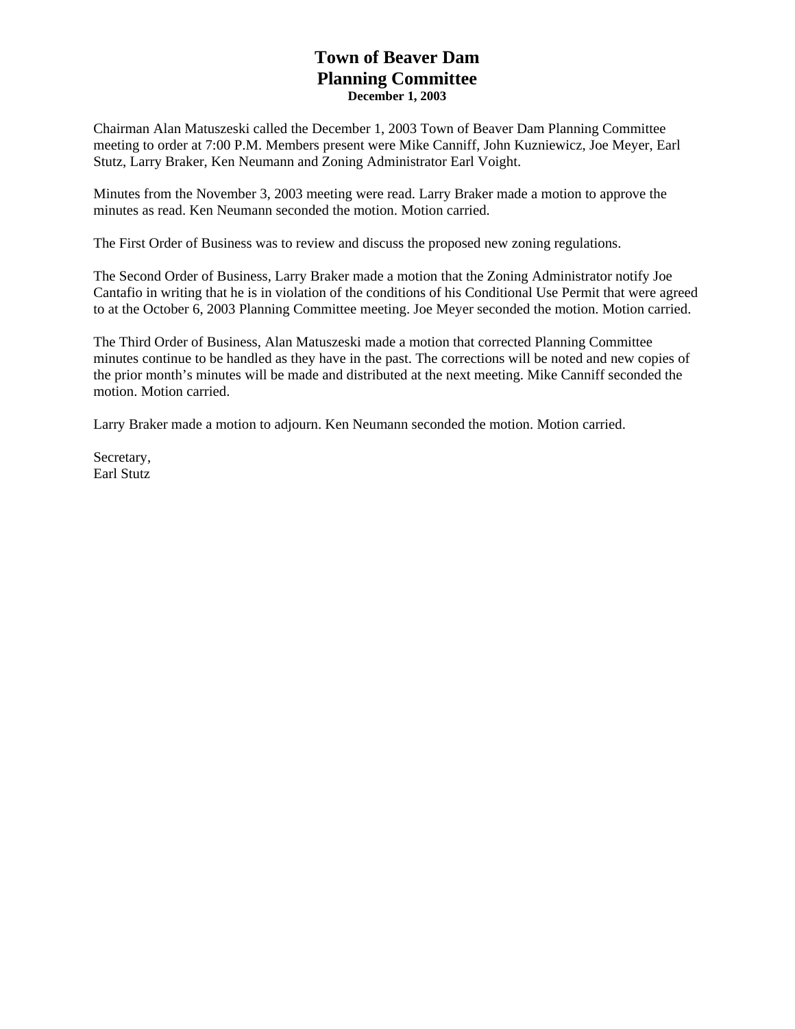## **Town of Beaver Dam Planning Committee December 1, 2003**

Chairman Alan Matuszeski called the December 1, 2003 Town of Beaver Dam Planning Committee meeting to order at 7:00 P.M. Members present were Mike Canniff, John Kuzniewicz, Joe Meyer, Earl Stutz, Larry Braker, Ken Neumann and Zoning Administrator Earl Voight.

Minutes from the November 3, 2003 meeting were read. Larry Braker made a motion to approve the minutes as read. Ken Neumann seconded the motion. Motion carried.

The First Order of Business was to review and discuss the proposed new zoning regulations.

The Second Order of Business, Larry Braker made a motion that the Zoning Administrator notify Joe Cantafio in writing that he is in violation of the conditions of his Conditional Use Permit that were agreed to at the October 6, 2003 Planning Committee meeting. Joe Meyer seconded the motion. Motion carried.

The Third Order of Business, Alan Matuszeski made a motion that corrected Planning Committee minutes continue to be handled as they have in the past. The corrections will be noted and new copies of the prior month's minutes will be made and distributed at the next meeting. Mike Canniff seconded the motion. Motion carried.

Larry Braker made a motion to adjourn. Ken Neumann seconded the motion. Motion carried.